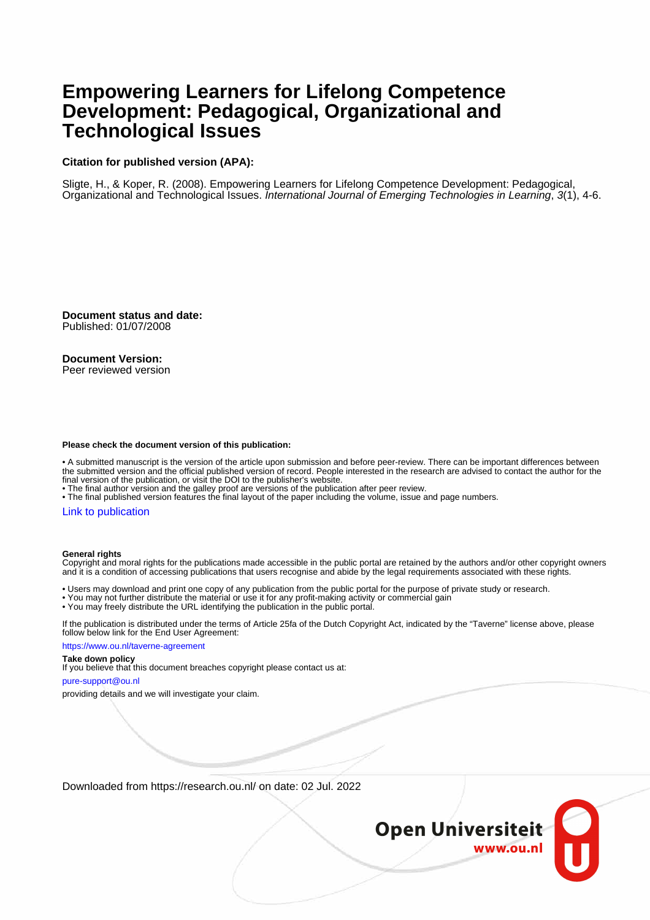## **Empowering Learners for Lifelong Competence Development: Pedagogical, Organizational and Technological Issues**

### **Citation for published version (APA):**

Sligte, H., & Koper, R. (2008). Empowering Learners for Lifelong Competence Development: Pedagogical, Organizational and Technological Issues. International Journal of Emerging Technologies in Learning, 3(1), 4-6.

**Document status and date:** Published: 01/07/2008

**Document Version:** Peer reviewed version

### **Please check the document version of this publication:**

• A submitted manuscript is the version of the article upon submission and before peer-review. There can be important differences between the submitted version and the official published version of record. People interested in the research are advised to contact the author for the final version of the publication, or visit the DOI to the publisher's website.

• The final author version and the galley proof are versions of the publication after peer review.

• The final published version features the final layout of the paper including the volume, issue and page numbers.

### [Link to publication](https://research.ou.nl/en/publications/04a18879-a64d-4975-ac03-6bf887fbe20c)

#### **General rights**

Copyright and moral rights for the publications made accessible in the public portal are retained by the authors and/or other copyright owners and it is a condition of accessing publications that users recognise and abide by the legal requirements associated with these rights.

• Users may download and print one copy of any publication from the public portal for the purpose of private study or research.

- You may not further distribute the material or use it for any profit-making activity or commercial gain
- You may freely distribute the URL identifying the publication in the public portal.

If the publication is distributed under the terms of Article 25fa of the Dutch Copyright Act, indicated by the "Taverne" license above, please follow below link for the End User Agreement:

https://www.ou.nl/taverne-agreement

### **Take down policy**

If you believe that this document breaches copyright please contact us at:

pure-support@ou.nl

providing details and we will investigate your claim.

Downloaded from https://research.ou.nl/ on date: 02 Jul. 2022

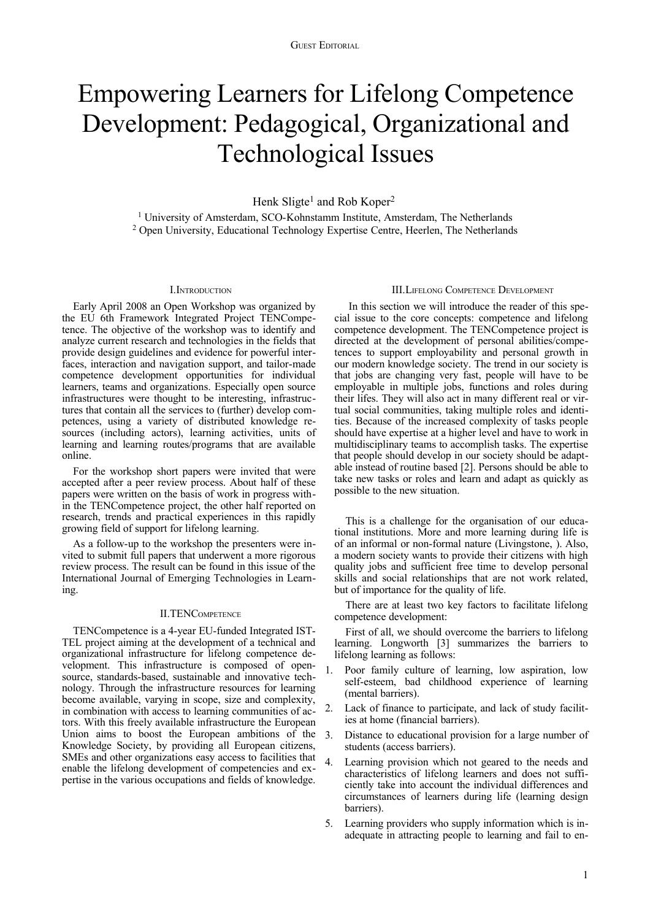# Empowering Learners for Lifelong Competence Development: Pedagogical, Organizational and Technological Issues

Henk Sligte<sup>1</sup> and Rob Koper<sup>2</sup>

<sup>1</sup> University of Amsterdam, SCO-Kohnstamm Institute, Amsterdam, The Netherlands 2 Open University, Educational Technology Expertise Centre, Heerlen, The Netherlands

### I.INTRODUCTION

Early April 2008 an Open Workshop was organized by the EU 6th Framework Integrated Project TENCompetence. The objective of the workshop was to identify and analyze current research and technologies in the fields that provide design guidelines and evidence for powerful interfaces, interaction and navigation support, and tailor-made competence development opportunities for individual learners, teams and organizations. Especially open source infrastructures were thought to be interesting, infrastructures that contain all the services to (further) develop competences, using a variety of distributed knowledge resources (including actors), learning activities, units of learning and learning routes/programs that are available online.

For the workshop short papers were invited that were accepted after a peer review process. About half of these papers were written on the basis of work in progress within the TENCompetence project, the other half reported on research, trends and practical experiences in this rapidly growing field of support for lifelong learning.

As a follow-up to the workshop the presenters were invited to submit full papers that underwent a more rigorous review process. The result can be found in this issue of the International Journal of Emerging Technologies in Learning.

### II.TENCOMPETENCE

TENCompetence is a 4-year EU-funded Integrated IST-TEL project aiming at the development of a technical and organizational infrastructure for lifelong competence development. This infrastructure is composed of opensource, standards-based, sustainable and innovative technology. Through the infrastructure resources for learning become available, varying in scope, size and complexity, in combination with access to learning communities of actors. With this freely available infrastructure the European Union aims to boost the European ambitions of the Knowledge Society, by providing all European citizens, SMEs and other organizations easy access to facilities that enable the lifelong development of competencies and expertise in the various occupations and fields of knowledge.

### III.LIFELONG COMPETENCE DEVELOPMENT

 In this section we will introduce the reader of this special issue to the core concepts: competence and lifelong competence development. The TENCompetence project is directed at the development of personal abilities/competences to support employability and personal growth in our modern knowledge society. The trend in our society is that jobs are changing very fast, people will have to be employable in multiple jobs, functions and roles during their lifes. They will also act in many different real or virtual social communities, taking multiple roles and identities. Because of the increased complexity of tasks people should have expertise at a higher level and have to work in multidisciplinary teams to accomplish tasks. The expertise that people should develop in our society should be adaptable instead of routine based [2]. Persons should be able to take new tasks or roles and learn and adapt as quickly as possible to the new situation.

This is a challenge for the organisation of our educational institutions. More and more learning during life is of an informal or non-formal nature (Livingstone, ). Also, a modern society wants to provide their citizens with high quality jobs and sufficient free time to develop personal skills and social relationships that are not work related, but of importance for the quality of life.

There are at least two key factors to facilitate lifelong competence development:

First of all, we should overcome the barriers to lifelong learning. Longworth [3] summarizes the barriers to lifelong learning as follows:

- 1. Poor family culture of learning, low aspiration, low self-esteem, bad childhood experience of learning (mental barriers).
- 2. Lack of finance to participate, and lack of study facilities at home (financial barriers).
- 3. Distance to educational provision for a large number of students (access barriers).
- 4. Learning provision which not geared to the needs and characteristics of lifelong learners and does not sufficiently take into account the individual differences and circumstances of learners during life (learning design barriers).
- 5. Learning providers who supply information which is inadequate in attracting people to learning and fail to en-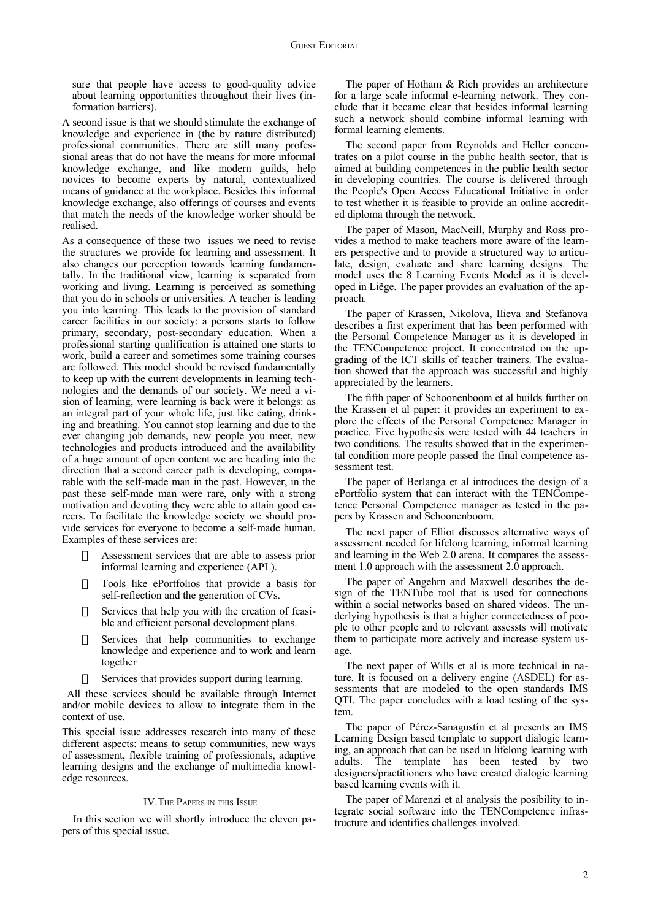sure that people have access to good-quality advice about learning opportunities throughout their lives (information barriers).

A second issue is that we should stimulate the exchange of knowledge and experience in (the by nature distributed) professional communities. There are still many professional areas that do not have the means for more informal knowledge exchange, and like modern guilds, help novices to become experts by natural, contextualized means of guidance at the workplace. Besides this informal knowledge exchange, also offerings of courses and events that match the needs of the knowledge worker should be realised.

As a consequence of these two issues we need to revise the structures we provide for learning and assessment. It also changes our perception towards learning fundamentally. In the traditional view, learning is separated from working and living. Learning is perceived as something that you do in schools or universities. A teacher is leading you into learning. This leads to the provision of standard career facilities in our society: a persons starts to follow primary, secondary, post-secondary education. When a professional starting qualification is attained one starts to work, build a career and sometimes some training courses are followed. This model should be revised fundamentally to keep up with the current developments in learning technologies and the demands of our society. We need a vision of learning, were learning is back were it belongs: as an integral part of your whole life, just like eating, drinking and breathing. You cannot stop learning and due to the ever changing job demands, new people you meet, new technologies and products introduced and the availability of a huge amount of open content we are heading into the direction that a second career path is developing, comparable with the self-made man in the past. However, in the past these self-made man were rare, only with a strong motivation and devoting they were able to attain good careers. To facilitate the knowledge society we should provide services for everyone to become a self-made human. Examples of these services are:

- Assessment services that are able to assess prior informal learning and experience (APL).
- Tools like ePortfolios that provide a basis for self-reflection and the generation of CVs.
- $\Box$  Services that help you with the creation of feasible and efficient personal development plans.
- $\Box$  Services that help communities to exchange knowledge and experience and to work and learn together
- Services that provides support during learning.

 All these services should be available through Internet and/or mobile devices to allow to integrate them in the context of use.

This special issue addresses research into many of these different aspects: means to setup communities, new ways of assessment, flexible training of professionals, adaptive learning designs and the exchange of multimedia knowledge resources.

### IV.THE PAPERS IN THIS ISSUE

In this section we will shortly introduce the eleven papers of this special issue.

The paper of Hotham & Rich provides an architecture for a large scale informal e-learning network. They conclude that it became clear that besides informal learning such a network should combine informal learning with formal learning elements.

The second paper from Reynolds and Heller concentrates on a pilot course in the public health sector, that is aimed at building competences in the public health sector in developing countries. The course is delivered through the People's Open Access Educational Initiative in order to test whether it is feasible to provide an online accredited diploma through the network.

The paper of Mason, MacNeill, Murphy and Ross provides a method to make teachers more aware of the learners perspective and to provide a structured way to articulate, design, evaluate and share learning designs. The model uses the 8 Learning Events Model as it is developed in Liẽge. The paper provides an evaluation of the approach.

The paper of Krassen, Nikolova, Ilieva and Stefanova describes a first experiment that has been performed with the Personal Competence Manager as it is developed in the TENCompetence project. It concentrated on the upgrading of the ICT skills of teacher trainers. The evaluation showed that the approach was successful and highly appreciated by the learners.

The fifth paper of Schoonenboom et al builds further on the Krassen et al paper: it provides an experiment to explore the effects of the Personal Competence Manager in practice. Five hypothesis were tested with 44 teachers in two conditions. The results showed that in the experimental condition more people passed the final competence assessment test.

The paper of Berlanga et al introduces the design of a ePortfolio system that can interact with the TENCompetence Personal Competence manager as tested in the papers by Krassen and Schoonenboom.

The next paper of Elliot discusses alternative ways of assessment needed for lifelong learning, informal learning and learning in the Web 2.0 arena. It compares the assessment 1.0 approach with the assessment 2.0 approach.

The paper of Angehrn and Maxwell describes the design of the TENTube tool that is used for connections within a social networks based on shared videos. The underlying hypothesis is that a higher connectedness of people to other people and to relevant assessts will motivate them to participate more actively and increase system usage.

The next paper of Wills et al is more technical in nature. It is focused on a delivery engine (ASDEL) for assessments that are modeled to the open standards IMS QTI. The paper concludes with a load testing of the system.

The paper of Pérez-Sanagustín et al presents an IMS Learning Design based template to support dialogic learning, an approach that can be used in lifelong learning with adults. The template has been tested by two designers/practitioners who have created dialogic learning based learning events with it.

The paper of Marenzi et al analysis the posibility to integrate social software into the TENCompetence infrastructure and identifies challenges involved.